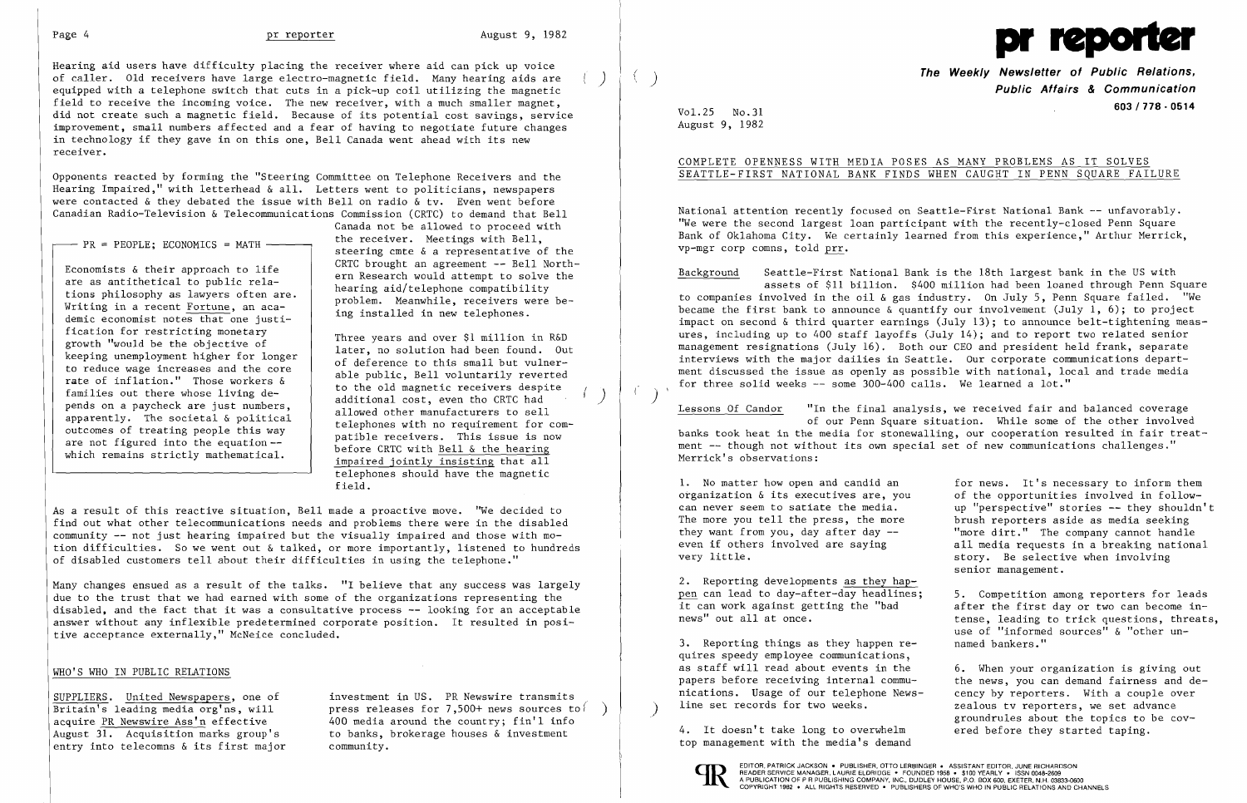

Hearing aid users have difficulty placing the receiver where aid can pick up voice of caller. Old receivers have large electro-magnetic field. Many hearing aids are ) equipped with a telephone switch that cuts in a pick-up coil utilizing the magnetic field to receive the incoming voice. The new receiver, with a much smaller magnet, did not create such a magnetic field. Because of its potential cost savings, service improvement, small numbers affected and a fear of having to negotiate future changes in technology if they gave in on this one, Bell Canada went ahead with its new receiver.

Opponents reacted by forming the "Steering Committee on Telephone Receivers and the Hearing Impaired," with letterhead & all. Letters went to politicians, newspapers were contacted & they debated the issue with Bell on radio & tv. Even went before Canadian Radio-Television & Telecommunications Commission (CRTC) to demand that Bell

 $-$  PR = PEOPLE: ECONOMICS = MATH  $-$ 

Economists & their approach to life are as antithetical to public relations philosophy as lawyers often are. Writing in a recent Fortune, an academic economist notes that one justification for restricting monetary growth "would be the objective of keeping unemployment higher for longer to reduce wage increases and the core rate of inflation." Those workers & families out there whose living depends on a paycheck are just numbers, apparently. The societal & political outcomes of treating people this way are not figured into the equation which remains strictly mathematical.

Canada not be allowed to proceed with the receiver. Meetings with Bell, steering cmte & a representative of the CRTC brought an agreement -- Bell Northern Research would attempt to solve the hearing aid/telephone compatibility problem. Meanwhile, receivers were being installed in new telephones.

 $Vol.25$   $No.31$ August 9, 1982

 $(1)$ 

National attention recently focused on Seattle-First National Bank -- unfavorably. 'We were the second largest loan participant with the recently-closed Penn Square Bank of Oklahoma City. We certainly learned from this experience," Arthur Merrick, vp-mgr corp comns, told prr.

Three years and over \$1 million in R&D later, no solution had been found. Out of deference to this small but vulnerable public, Bell voluntarily reverted to the old magnetic receivers despite additional cost, even tho CRTC had allowed other manufacturers to sell telephones with no requirement for compatible receivers. This issue is now before CRTC with Bell & the hearing impaired jointly insisting that all telephones should have the magnetic field.

Lessons Of Candor "In the final analysis, we received fair and balanced coverage of our Penn Square situation. While some of the other involved banks took heat in the media for stonewalling, our cooperation resulted in fair treatment -- though not without its own special set of new communications challenges."

As a result of this reactive situation, Bell made a proactive move. "We decided to find out what other telecommunications needs and problems there were in the disabled community -- not just hearing impaired but the visually impaired and those with motion difficulties. So we went out & talked, or more importantly, listened to hundreds of disabled customers tell about their difficulties in using the telephone."

1. No matter how open and candid an for news. It's necessary to inform them organization & its executives are, you of the opportunities involved in followorganization & its executives are, you of the opportunities involved in follow-<br>can never seem to satiate the media. The "perspective" stories -- they shouldn' can never seem to satiate the media. up "perspective" stories -- they shouldn't<br>The more you tell the press, the more brush reporters aside as media seeking The more you tell the press, the more brush reporters aside as media seeking<br>they want from you, day after day  $-$  "more dirt." The company cannot handle they want from you, day after day --<br>
even if others involved are saving<br>
all media requests in a breaking national even if others involved are saying<br>
very little.<br>
story. Be selective when involving story. Be selective when involving senior management.

5. Competition among reporters for leads <u>For</u> can idea by any differ any measurines, the sompetition allong reporters for reads<br>it can work against getting the "bad after the first day or two can become innews" out all at once. The same tense, leading to trick questions, threats, use of "informed sources" & "other un-<br>named bankers."

> the news, you can demand fairness and decency by reporters. With a couple over zealous tv reporters, we set advance groundrules about the topics to be cov-<br>ered before they started taping.

Many changes ensued as a result of the talks. "I believe that any success was largely due to the trust that we had earned with some of the organizations representing the disabled, and the fact that it was a consultative process -- looking for an acceptable answer without any inflexible predetermined corporate position. It resulted in positive acceptance externally," McNeice concluded.

## WHO'S WHO IN PUBLIC RELATIONS

August 31. Acquisition marks group's entry into telecomns & its first major community.

SUPPLIERS. United Newspapers, one of investment in US. PR Newswire transmits<br>Britain's leading media org'ns, will press releases for 7,500+ news sources to Britain's leading media org'ns, will press releases for 7,500+ news sources to acquire PR Newswire Ass'n effective  $400$  media around the country; fin'l info 400 media around the country; fin'l info<br>to banks, brokerage houses  $\&$  investment

4. It doesn't take long to overwhelm top management with the media's demand



**The Weekly Newsletter of Public Relations,** ( ) **Public Affairs & Communication 603/778·0514** Vo1.25 No.31

COMPLETE OPENNESS WITH MEDIA POSES AS MANY PROBLEMS AS IT SOLVES SEATTLE-FIRST NATIONAL BANK FINDS WHEN CAUGHT IN PENN SQUARE FAILURE

Background Seattle-First National Bank is the 18th largest bank in the US with assets of \$11 billion. \$400 million had been loaned through Penn Square to companies involved in the oil & gas industry. On July 5, Penn Square failed. "We became the first bank to announce  $\&$  quantify our involvement (July 1, 6); to project impact on second & third quarter earnings (July 13); to announce belt-tightening measures, including up to 400 staff layoffs (July 14); and to report two related senior management resignations (July 16). Both our CEO and president held frank, separate interviews with the major dailies in Seattle. Our corporate communications department discussed the issue as openly as possible with national, local and trade media for three solid weeks -- some 300-400 calls. We learned a lot."

Merrick's observations:

2. Reporting developments as they happen can lead to day-after-day headlines;<br>it can work against getting the "bad

3. Reporting things as they happen  $re$ quires speedy employee communications, as staff will read about events in the 6. When your organization is giving out papers before receiving internal communications. Usage of our telephone News-<br>line set records for two weeks.